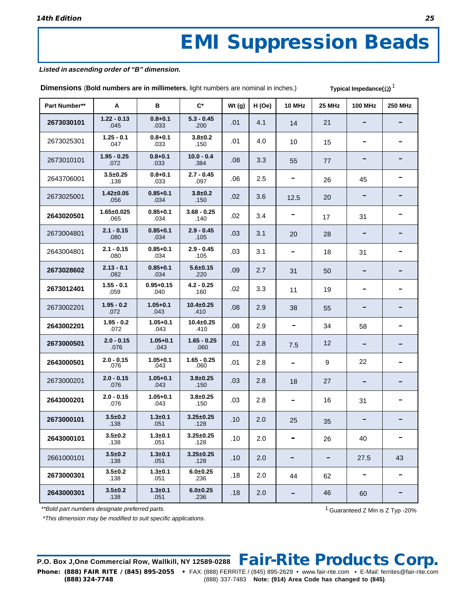# **EMI Suppression Beads**

#### **Listed in ascending order of "B" dimension.**

**Dimensions** (**Bold numbers are in millimeters**, light numbers are nominal in inches.)

**Typical Impedance(** $\Omega$ **)**<sup>1</sup> **Part Number\*\* A B C\* Wt (g) H (Oe) 10 MHz 25 MHz 100 MHz 250 MHz 1.22 - 0.13 0.8+0.1 5.3 - 0.45 2673030101** .01 4.1 14 21 .045 .033 .200 **1.25 - 0.1 0.8+0.1 3.8±0.2**<br>.047 .033 .150  $2673025301$  ...  $2673025301$  ...  $2673025301$  ...  $2673025301$  10 15  $.033$ **1.95 - 0.25 0.8+0.1 10.0 - 0.4** 2673010101 .08 3.3 55 77 .072 .033 .384 **3.5±0.25 0.8+0.1 2.7 - 0.45**  $2643706001$   $3.26125$   $3.3$   $3.61611$   $3.097$   $3.06$   $2.5$   $26$   $45$ Ē, .138 .033 .097 **1.42±0.05 0.85+0.1 3.8±0.2** 2673025001 .02 3.6 12.5 20 ÷, Ē. .056 .034 .150 **1.65±0.025 0.85+0.1 3.68 - 0.25 2643020501** ...  $\frac{0.0565}{0.05}$  ...  $\frac{0.034}{0.034}$  ...  $\frac{0.02}{140}$  ... 02 3.4  $-$  17 17 31 .140 .065 .034 **2.1 - 0.15 0.85+0.1 2.9 - 0.45** L.  $2673004801$   $2.1$   $2.9$   $0.80$   $0.34$   $0.80$   $0.31$   $0.80$   $0.31$   $0.31$   $0.31$   $0.31$   $0.31$   $0.31$   $0.31$   $0.31$   $0.31$   $0.31$   $0.31$   $0.31$   $0.31$   $0.31$   $0.31$   $0.31$   $0.31$   $0.31$   $0.31$   $0.31$   $0.31$   $0.31$   $0.31$  .080 .034 .105 **2.1 - 0.15 0.85+0.1 2.9 - 0.45**  $\overline{a}$  $2643004801$   $2.1 - 0.15$   $0.83 + 0.11$   $2.9 - 0.43$   $0.65 + 0.1$   $0.3$   $0.31$   $0.31$   $0.31$   $0.31$   $0.31$   $0.31$   $0.31$   $0.31$   $0.31$   $0.31$   $0.31$   $0.31$   $0.31$   $0.31$   $0.31$   $0.31$   $0.31$   $0.31$   $0.31$   $0.31$   $0.31$   $0.31$ .080 .034 .105 **2.13 - 0.1 0.85+0.1 5.6±0.15 2673028602 2.73**  $\cdot$  **0.1 0.85+0.1 5.6±0.15** 0.09 **2.7 31** 50 **50** .082 .034 .220 **1.55 - 0.1 0.95+0.15 4.2 - 0.25 2673012401** .02 3.3 11 19 .059 .040 .160 **1.95 - 0.2 1.05+0.1 10.4±0.25** L, 2673002201 .99-0.2 1.0<del>9-</del>0.1 10.<del>4±</del>0.25 .08 2.9 38 55 .072 .043 .410 **1.95 - 0.2 1.05+0.1 10.4±0.25 2643002201** .08 2.9 34 58 .072 .043 .410 **2.0 - 0.15 1.05+0.1 1.65 - 0.25 2673000501** 2.0  $\frac{1}{1076}$  1.03+0.1 1.03 0.25 0.25 0.1 2.8 7.5 12 .076 .060 .043 **2.0 - 0.15 1.05+0.1 1.65 - 0.25** 22 $\equiv$ **2643000501** .01 2.8 9 .076 .060 .043 **2.0 - 0.15 1.05+0.1 3.8±0.25**  $2673000201$   $2.0$   $-0.75$   $1.03 + 0.1$   $3.8 + 0.25$   $3.8$   $3.8$   $3.8$   $3.8$   $3.8$   $3.8$   $3.8$   $3.8$   $3.8$   $3.8$   $3.8$   $3.8$   $3.8$   $3.8$   $3.8$   $3.8$   $3.8$   $3.8$   $3.8$   $3.8$   $3.8$   $3.8$   $3.8$   $3.8$   $3.8$   $3.8$   $3.8$   $3.8$   $3$ .076 .043 .150 **2.0 - 0.15 1.05+0.1 3.8±0.25 2643000201** 2.0 0.13 1.03 3.0  $\frac{3.03 \times 10^{10}}{10^{10}}$  3.0  $\frac{1}{20}$  3.0  $\frac{1}{20}$  3.0  $\frac{1}{20}$  3.0  $\frac{1}{20}$  3.1 L. .076 .043 .150 **3.5±0.2 3.25±0.25 1.3±0.1 2673000101 3.5±0.2 1.3±0.1 3.25±0.25 1.0 2.0 25 25 35** L. L. .138 .051 .128 **3.5±0.2 1.3±0.1 3.25±0.25** L, **2643000101** .10 2.0 26 40 .138 .051 .128 **3.5±0.2 1.3±0.1 3.25±0.25** 2661000101 .10 2.0 27.5 43 .138 .051 .128 **3.5±0.2 1.3±0.1 6.0±0.25**  $\overline{\phantom{0}}$  $\equiv$ **2673000301** .18 2.0 44 62 .138 .051 .236 **3.5±0.2 1.3±0.1 6.0±0.25 2643000301** .18 2.0 46 60 .138 .051 .236

\*\*Bold part numbers designate preferred parts.

\*This dimension may be modified to suit specific applications.

<sup>1</sup> Guaranteed Z Min is Z Typ -20%

**P.O. Box J,One Commercial Row, Wallkill, NY 12589-0288 Fair-Rite Products Corp. Phone: (888) FAIR RITE / (845) 895-2055 •** FAX: (888) FERRITE / (845) 895-2629 • www.fair-rite.com • E-Mail: ferrites@fair-rite.com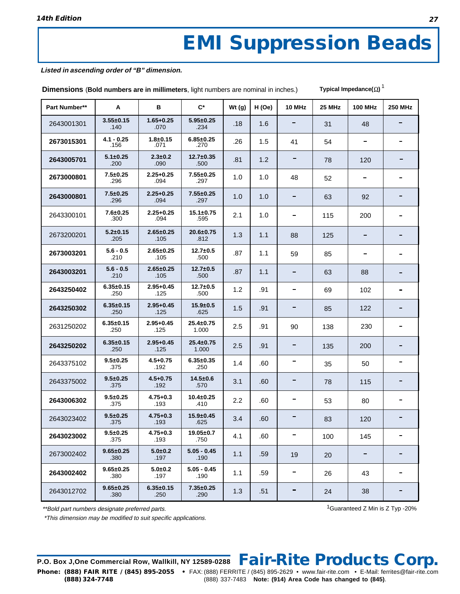# **EMI Suppression Beads**

#### **Listed in ascending order of "B" dimension.**

**Dimensions** (**Bold numbers are in millimeters**, light numbers are nominal in inches.)

**Typical Impedance(** $\Omega$ **)** <sup>1</sup>

| Part Number** | A                       | в                       | $\mathsf{C}^\star$       | Wt(g) | H(Oe) | <b>10 MHz</b> | <b>25 MHz</b> | <b>100 MHz</b> | <b>250 MHz</b> |
|---------------|-------------------------|-------------------------|--------------------------|-------|-------|---------------|---------------|----------------|----------------|
| 2643001301    | $3.55 \pm 0.15$<br>.140 | $1.65 + 0.25$<br>.070   | $5.95 \pm 0.25$<br>.234  | .18   | 1.6   |               | 31            | 48             |                |
| 2673015301    | $4.1 - 0.25$<br>.156    | $1.8 + 0.15$<br>.071    | $6.85 \pm 0.25$<br>.270  | .26   | 1.5   | 41            | 54            |                |                |
| 2643005701    | $5.1 \pm 0.25$<br>.200  | $2.3 \pm 0.2$<br>.090   | $12.7 \pm 0.35$<br>.500  | .81   | 1.2   |               | 78            | 120            |                |
| 2673000801    | $7.5 + 0.25$<br>.296    | $2.25 + 0.25$<br>.094   | $7.55 \pm 0.25$<br>.297  | 1.0   | 1.0   | 48            | 52            |                |                |
| 2643000801    | $7.5 + 0.25$<br>.296    | $2.25 + 0.25$<br>.094   | $7.55 \pm 0.25$<br>.297  | 1.0   | 1.0   |               | 63            | 92             |                |
| 2643300101    | $7.6 + 0.25$<br>.300    | $2.25 + 0.25$<br>.094   | $15.1 \pm 0.75$<br>.595  | 2.1   | 1.0   |               | 115           | 200            |                |
| 2673200201    | $5.2 + 0.15$<br>.205    | $2.65 \pm 0.25$<br>.105 | $20.6 \pm 0.75$<br>.812  | 1.3   | 1.1   | 88            | 125           |                |                |
| 2673003201    | $5.6 - 0.5$<br>.210     | $2.65 \pm 0.25$<br>.105 | $12.7 \pm 0.5$<br>.500   | .87   | 1.1   | 59            | 85            |                |                |
| 2643003201    | $5.6 - 0.5$<br>.210     | $2.65 \pm 0.25$<br>.105 | $12.7 \pm 0.5$<br>.500   | .87   | 1.1   | -             | 63            | 88             |                |
| 2643250402    | $6.35 \pm 0.15$<br>.250 | $2.95 + 0.45$<br>.125   | $12.7 \pm 0.5$<br>.500   | 1.2   | .91   |               | 69            | 102            |                |
| 2643250302    | $6.35 \pm 0.15$<br>.250 | $2.95 + 0.45$<br>.125   | $15.9 + 0.5$<br>.625     | 1.5   | .91   | -             | 85            | 122            |                |
| 2631250202    | $6.35 \pm 0.15$<br>.250 | $2.95 + 0.45$<br>.125   | $25.4 \pm 0.75$<br>1.000 | 2.5   | .91   | 90            | 138           | 230            | $\blacksquare$ |
| 2643250202    | $6.35 \pm 0.15$<br>.250 | $2.95 + 0.45$<br>.125   | $25.4 \pm 0.75$<br>1.000 | 2.5   | .91   | -             | 135           | 200            |                |
| 2643375102    | $9.5 \pm 0.25$<br>.375  | $4.5 + 0.75$<br>.192    | $6.35 \pm 0.35$<br>.250  | 1.4   | .60   |               | 35            | 50             |                |
| 2643375002    | $9.5 + 0.25$<br>.375    | $4.5 + 0.75$<br>.192    | $14.5 \pm 0.6$<br>.570   | 3.1   | .60   |               | 78            | 115            |                |
| 2643006302    | $9.5 \pm 0.25$<br>.375  | $4.75 + 0.3$<br>.193    | 10.4±0.25<br>.410        | 2.2   | .60   |               | 53            | 80             |                |
| 2643023402    | $9.5 + 0.25$<br>.375    | $4.75 + 0.3$<br>.193    | $15.9 \pm 0.45$<br>.625  | 3.4   | .60   |               | 83            | 120            |                |
| 2643023002    | $9.5 \pm 0.25$<br>.375  | $4.75 + 0.3$<br>.193    | 19.05±0.7<br>.750        | 4.1   | .60   |               | 100           | 145            |                |
| 2673002402    | $9.65 \pm 0.25$<br>.380 | $5.0 + 0.2$<br>.197     | $5.05 - 0.45$<br>.190    | 1.1   | .59   | 19            | 20            |                |                |
| 2643002402    | $9.65 \pm 0.25$<br>.380 | $5.0 + 0.2$<br>.197     | $5.05 - 0.45$<br>.190    | 1.1   | .59   | -             | 26            | 43             |                |
| 2643012702    | $9.65 \pm 0.25$<br>.380 | $6.35 \pm 0.15$<br>.250 | $7.35 \pm 0.25$<br>.290  | 1.3   | .51   |               | 24            | 38             |                |

\*\*Bold part numbers designate preferred parts.

1Guaranteed Z Min is Z Typ -20%

\*This dimension may be modified to suit specific applications.

**P.O. Box J,One Commercial Row, Wallkill, NY 12589-0288 Phone: (888) FAIR RITE / (845) 895-2055 •** FAX: (888) FERRITE / (845) 895-2629 • www.fair-rite.com • E-Mail: ferrites@fair-rite.com **Fair-Rite Products Corp.**

**(888) 324-7748** (888) 337-7483 **Note: (914) Area Code has changed to (845)**.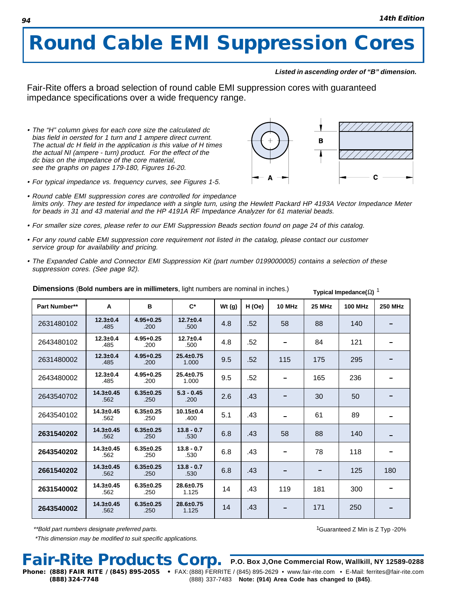# **Round Cable EMI Suppression Cores**

#### **Listed in ascending order of "B" dimension.**

Fair-Rite offers a broad selection of round cable EMI suppression cores with guaranteed impedance specifications over a wide frequency range.

• The "H" column gives for each core size the calculated dc bias field in oersted for 1 turn and 1 ampere direct current. The actual dc H field in the application is this value of H times the actual NI (ampere - turn) product. For the effect of the dc bias on the impedance of the core material, see the graphs on pages 179-180, Figures 16-20.



**Typical Impedance(** $\Omega$ **)** <sup>1</sup>

- For typical impedance vs. frequency curves, see Figures 1-5.
- Round cable EMI suppression cores are controlled for impedance limits only. They are tested for impedance with a single turn, using the Hewlett Packard HP 4193A Vector Impedance Meter for beads in 31 and 43 material and the HP 4191A RF Impedance Analyzer for 61 material beads.
- For smaller size cores, please refer to our EMI Suppression Beads section found on page 24 of this catalog.
- For any round cable EMI suppression core requirement not listed in the catalog, please contact our customer service group for availability and pricing.
- The Expanded Cable and Connector EMI Suppression Kit (part number 0199000005) contains a selection of these suppression cores. (See page 92).

| Part Number** | A                       | B                       | $C^*$                    | Wt(g) | H (Oe) | <b>10 MHz</b> | <b>25 MHz</b> | <b>100 MHz</b> | <b>250 MHz</b> |
|---------------|-------------------------|-------------------------|--------------------------|-------|--------|---------------|---------------|----------------|----------------|
| 2631480102    | $12.3 \pm 0.4$<br>.485  | $4.95 + 0.25$<br>.200   | $12.7 \pm 0.4$<br>.500   | 4.8   | .52    | 58            | 88            | 140            |                |
| 2643480102    | $12.3 + 0.4$<br>.485    | $4.95 + 0.25$<br>.200   | $12.7 \pm 0.4$<br>.500   | 4.8   | .52    |               | 84            | 121            |                |
| 2631480002    | $12.3 \pm 0.4$<br>.485  | $4.95 + 0.25$<br>.200   | $25.4 \pm 0.75$<br>1.000 | 9.5   | .52    | 115           | 175           | 295            |                |
| 2643480002    | $12.3 + 0.4$<br>.485    | $4.95 + 0.25$<br>.200   | $25.4 + 0.75$<br>1.000   | 9.5   | .52    |               | 165           | 236            |                |
| 2643540702    | $14.3 \pm 0.45$<br>.562 | $6.35 \pm 0.25$<br>.250 | $5.3 - 0.45$<br>.200     | 2.6   | .43    |               | 30            | 50             |                |
| 2643540102    | $14.3 \pm 0.45$<br>.562 | $6.35 \pm 0.25$<br>.250 | $10.15 \pm 0.4$<br>.400  | 5.1   | .43    |               | 61            | 89             |                |
| 2631540202    | $14.3 \pm 0.45$<br>.562 | $6.35 \pm 0.25$<br>.250 | $13.8 - 0.7$<br>.530     | 6.8   | .43    | 58            | 88            | 140            |                |
| 2643540202    | $14.3 \pm 0.45$<br>.562 | $6.35 \pm 0.25$<br>.250 | $13.8 - 0.7$<br>.530     | 6.8   | .43    |               | 78            | 118            |                |
| 2661540202    | $14.3 \pm 0.45$<br>.562 | $6.35 \pm 0.25$<br>.250 | $13.8 - 0.7$<br>.530     | 6.8   | .43    |               |               | 125            | 180            |
| 2631540002    | $14.3 \pm 0.45$<br>.562 | $6.35 \pm 0.25$<br>.250 | $28.6 + 0.75$<br>1.125   | 14    | .43    | 119           | 181           | 300            |                |
| 2643540002    | $14.3 \pm 0.45$<br>.562 | $6.35 \pm 0.25$<br>.250 | $28.6 \pm 0.75$<br>1.125 | 14    | .43    |               | 171           | 250            |                |

#### **Dimensions** (**Bold numbers are in millimeters**, light numbers are nominal in inches.)

\*\*Bold part numbers designate preferred parts.

\*This dimension may be modified to suit specific applications.

### **Fair-Rite Products Corp.**

1Guaranteed Z Min is Z Typ -20%

**P.O. Box J,One Commercial Row, Wallkill, NY 12589-0288**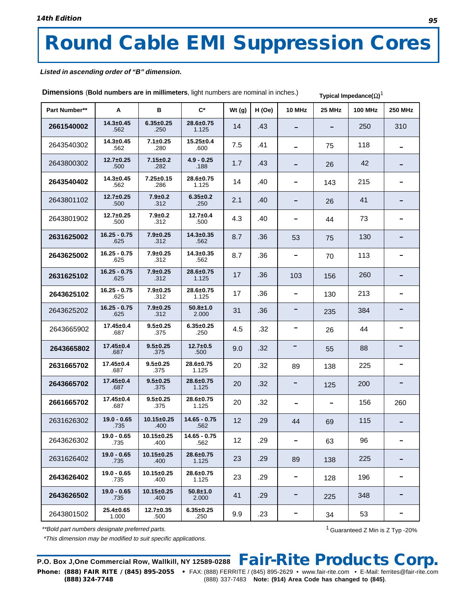# **Round Cable EMI Suppression Cores**

**Listed in ascending order of "B" dimension.**

|               |                          |                          |                          |       |        | ι γριναι πηρουαπνοι Σχ |               |                |                |  |  |
|---------------|--------------------------|--------------------------|--------------------------|-------|--------|------------------------|---------------|----------------|----------------|--|--|
| Part Number** | A                        | в                        | $C^*$                    | Wt(g) | H (Oe) | <b>10 MHz</b>          | <b>25 MHz</b> | <b>100 MHz</b> | <b>250 MHz</b> |  |  |
| 2661540002    | $14.3 \pm 0.45$<br>.562  | $6.35 \pm 0.25$<br>.250  | $28.6 \pm 0.75$<br>1.125 | 14    | .43    |                        |               | 250            | 310            |  |  |
| 2643540302    | $14.3 + 0.45$<br>.562    | $7.1 \pm 0.25$<br>.280   | $15.25 \pm 0.4$<br>.600  | 7.5   | .41    |                        | 75            | 118            |                |  |  |
| 2643800302    | $12.7 \pm 0.25$<br>.500  | $7.15 \pm 0.2$<br>.282   | $4.9 - 0.25$<br>.188     | 1.7   | .43    |                        | 26            | 42             |                |  |  |
| 2643540402    | $14.3 + 0.45$<br>.562    | $7.25 \pm 0.15$<br>.286  | $28.6 \pm 0.75$<br>1.125 | 14    | .40    |                        | 143           | 215            |                |  |  |
| 2643801102    | $12.7 \pm 0.25$<br>.500  | $7.9 \pm 0.2$<br>.312    | $6.35 \pm 0.2$<br>.250   | 2.1   | .40    |                        | 26            | 41             |                |  |  |
| 2643801902    | $12.7 \pm 0.25$<br>.500  | $7.9 + 0.2$<br>.312      | $12.7 \pm 0.4$<br>.500   | 4.3   | .40    |                        | 44            | 73             |                |  |  |
| 2631625002    | $16.25 - 0.75$<br>.625   | $7.9 + 0.25$<br>.312     | $14.3 \pm 0.35$<br>.562  | 8.7   | .36    | 53                     | 75            | 130            |                |  |  |
| 2643625002    | $16.25 - 0.75$<br>.625   | $7.9 + 0.25$<br>.312     | $14.3 \pm 0.35$<br>.562  | 8.7   | .36    | -                      | 70            | 113            |                |  |  |
| 2631625102    | $16.25 - 0.75$<br>.625   | $7.9 + 0.25$<br>.312     | $28.6 \pm 0.75$<br>1.125 | 17    | .36    | 103                    | 156           | 260            |                |  |  |
| 2643625102    | $16.25 - 0.75$<br>.625   | $7.9 + 0.25$<br>.312     | $28.6 \pm 0.75$<br>1.125 | 17    | .36    | -                      | 130           | 213            | -              |  |  |
| 2643625202    | $16.25 - 0.75$<br>.625   | $7.9 + 0.25$<br>.312     | $50.8 \pm 1.0$<br>2.000  | 31    | .36    |                        | 235           | 384            |                |  |  |
| 2643665902    | $17.45 \pm 0.4$<br>.687  | $9.5 + 0.25$<br>.375     | $6.35 \pm 0.25$<br>.250  | 4.5   | .32    |                        | 26            | 44             |                |  |  |
| 2643665802    | $17.45 \pm 0.4$<br>.687  | $9.5 + 0.25$<br>.375     | $12.7 \pm 0.5$<br>.500   | 9.0   | .32    | -                      | 55            | 88             |                |  |  |
| 2631665702    | $17.45 \pm 0.4$<br>.687  | $9.5 + 0.25$<br>.375     | 28.6±0.75<br>1.125       | 20    | .32    | 89                     | 138           | 225            | -              |  |  |
| 2643665702    | $17.45 \pm 0.4$<br>.687  | $9.5 + 0.25$<br>.375     | $28.6 \pm 0.75$<br>1.125 | 20    | .32    | -                      | 125           | 200            | -              |  |  |
| 2661665702    | $17.45 \pm 0.4$<br>.687  | $9.5 + 0.25$<br>.375     | $28.6 \pm 0.75$<br>1.125 | 20    | .32    |                        |               | 156            | 260            |  |  |
| 2631626302    | $19.0 - 0.65$<br>.735    | $10.15 \pm 0.25$<br>.400 | $14.65 - 0.75$<br>.562   | 12    | .29    | 44                     | 69            | 115            |                |  |  |
| 2643626302    | $19.0 - 0.65$<br>.735    | $10.15 \pm 0.25$<br>.400 | $14.65 - 0.75$<br>.562   | 12    | .29    | -                      | 63            | 96             |                |  |  |
| 2631626402    | $19.0 - 0.65$<br>.735    | $10.15 \pm 0.25$<br>.400 | $28.6 \pm 0.75$<br>1.125 | 23    | .29    | 89                     | 138           | 225            |                |  |  |
| 2643626402    | $19.0 - 0.65$<br>.735    | $10.15 \pm 0.25$<br>.400 | $28.6 \pm 0.75$<br>1.125 | 23    | .29    |                        | 128           | 196            |                |  |  |
| 2643626502    | $19.0 - 0.65$<br>.735    | $10.15 \pm 0.25$<br>.400 | $50.8 + 1.0$<br>2.000    | 41    | .29    |                        | 225           | 348            |                |  |  |
| 2643801502    | $25.4 \pm 0.65$<br>1.000 | $12.7 \pm 0.35$<br>.500  | $6.35 \pm 0.25$<br>.250  | 9.9   | .23    | Ξ                      | 34            | 53             |                |  |  |

**Dimensions** (**Bold numbers are in millimeters**, light numbers are nominal in inches.)

\*\*Bold part numbers designate preferred parts.

\*This dimension may be modified to suit specific applications.

<sup>1</sup> Guaranteed Z Min is Z Typ -20%

 **Typical Impedance( )**<sup>1</sup>

**P.O. Box J,One Commercial Row, Wallkill, NY 12589-0288**

**Fair-Rite Products Corp.**

**Phone: (888) FAIR RITE / (845) 895-2055 •** FAX: (888) FERRITE / (845) 895-2629 • www.fair-rite.com • E-Mail: ferrites@fair-rite.com **(888) 324-7748** (888) 337-7483 **Note: (914) Area Code has changed to (845)**.